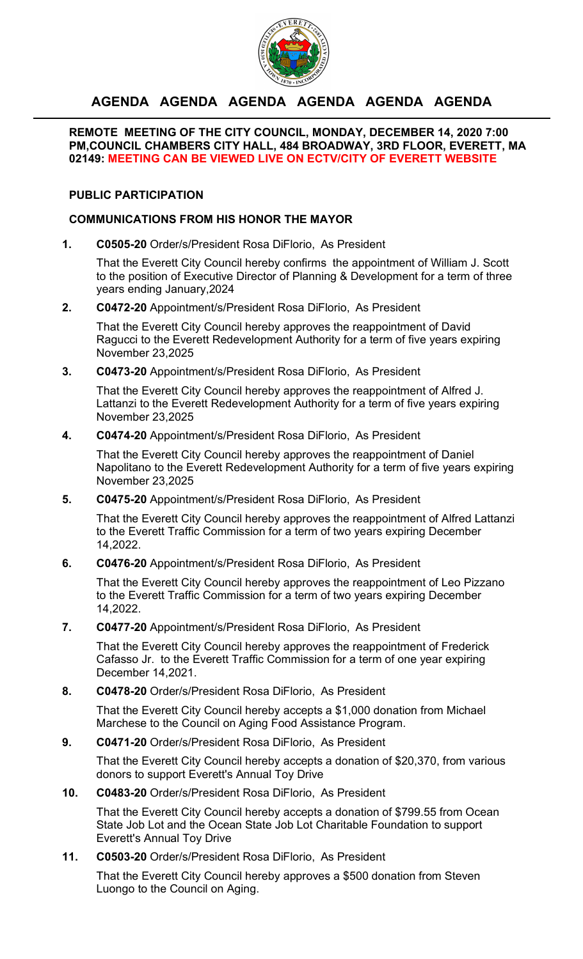

# **AGENDA AGENDA AGENDA AGENDA AGENDA AGENDA**

### **REMOTE MEETING OF THE CITY COUNCIL, MONDAY, DECEMBER 14, 2020 7:00 PM,COUNCIL CHAMBERS CITY HALL, 484 BROADWAY, 3RD FLOOR, EVERETT, MA 02149: MEETING CAN BE VIEWED LIVE ON ECTV/CITY OF EVERETT WEBSITE**

# **PUBLIC PARTICIPATION**

# **COMMUNICATIONS FROM HIS HONOR THE MAYOR**

**1. C0505-20** Order/s/President Rosa DiFlorio, As President

That the Everett City Council hereby confirms the appointment of William J. Scott to the position of Executive Director of Planning & Development for a term of three years ending January,2024

**2. C0472-20** Appointment/s/President Rosa DiFlorio, As President

That the Everett City Council hereby approves the reappointment of David Ragucci to the Everett Redevelopment Authority for a term of five years expiring November 23,2025

**3. C0473-20** Appointment/s/President Rosa DiFlorio, As President

That the Everett City Council hereby approves the reappointment of Alfred J. Lattanzi to the Everett Redevelopment Authority for a term of five years expiring November 23,2025

**4. C0474-20** Appointment/s/President Rosa DiFlorio, As President

That the Everett City Council hereby approves the reappointment of Daniel Napolitano to the Everett Redevelopment Authority for a term of five years expiring November 23,2025

**5. C0475-20** Appointment/s/President Rosa DiFlorio, As President

That the Everett City Council hereby approves the reappointment of Alfred Lattanzi to the Everett Traffic Commission for a term of two years expiring December 14,2022.

**6. C0476-20** Appointment/s/President Rosa DiFlorio, As President

That the Everett City Council hereby approves the reappointment of Leo Pizzano to the Everett Traffic Commission for a term of two years expiring December 14,2022.

**7. C0477-20** Appointment/s/President Rosa DiFlorio, As President

That the Everett City Council hereby approves the reappointment of Frederick Cafasso Jr. to the Everett Traffic Commission for a term of one year expiring December 14,2021.

**8. C0478-20** Order/s/President Rosa DiFlorio, As President

That the Everett City Council hereby accepts a \$1,000 donation from Michael Marchese to the Council on Aging Food Assistance Program.

**9. C0471-20** Order/s/President Rosa DiFlorio, As President

That the Everett City Council hereby accepts a donation of \$20,370, from various donors to support Everett's Annual Toy Drive

**10. C0483-20** Order/s/President Rosa DiFlorio, As President

That the Everett City Council hereby accepts a donation of \$799.55 from Ocean State Job Lot and the Ocean State Job Lot Charitable Foundation to support Everett's Annual Toy Drive

**11. C0503-20** Order/s/President Rosa DiFlorio, As President

That the Everett City Council hereby approves a \$500 donation from Steven Luongo to the Council on Aging.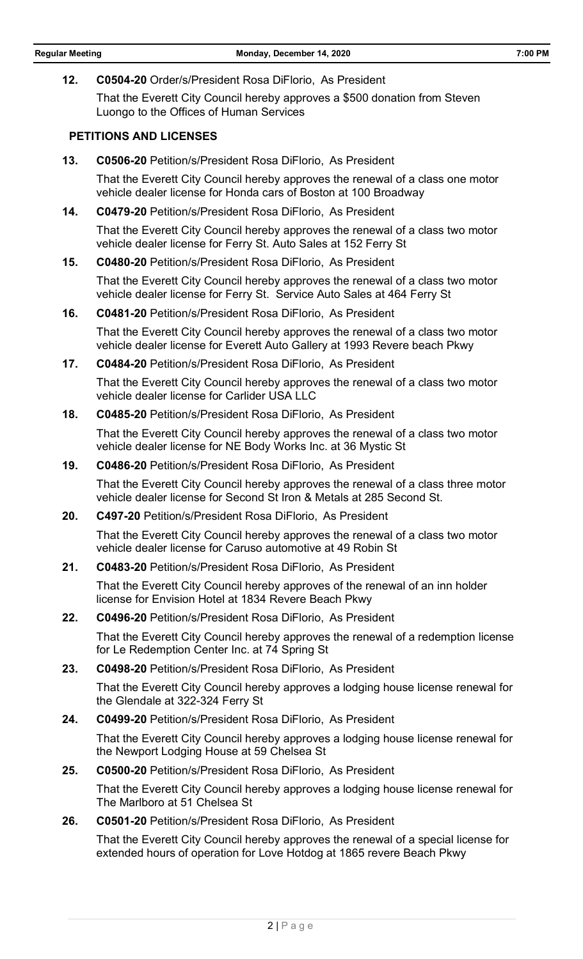**12. C0504-20** Order/s/President Rosa DiFlorio, As President

That the Everett City Council hereby approves a \$500 donation from Steven Luongo to the Offices of Human Services

#### **PETITIONS AND LICENSES**

**13. C0506-20** Petition/s/President Rosa DiFlorio, As President

That the Everett City Council hereby approves the renewal of a class one motor vehicle dealer license for Honda cars of Boston at 100 Broadway

**14. C0479-20** Petition/s/President Rosa DiFlorio, As President

That the Everett City Council hereby approves the renewal of a class two motor vehicle dealer license for Ferry St. Auto Sales at 152 Ferry St

**15. C0480-20** Petition/s/President Rosa DiFlorio, As President

That the Everett City Council hereby approves the renewal of a class two motor vehicle dealer license for Ferry St. Service Auto Sales at 464 Ferry St

**16. C0481-20** Petition/s/President Rosa DiFlorio, As President

That the Everett City Council hereby approves the renewal of a class two motor vehicle dealer license for Everett Auto Gallery at 1993 Revere beach Pkwy

**17. C0484-20** Petition/s/President Rosa DiFlorio, As President

That the Everett City Council hereby approves the renewal of a class two motor vehicle dealer license for Carlider USA LLC

**18. C0485-20** Petition/s/President Rosa DiFlorio, As President

That the Everett City Council hereby approves the renewal of a class two motor vehicle dealer license for NE Body Works Inc. at 36 Mystic St

**19. C0486-20** Petition/s/President Rosa DiFlorio, As President

That the Everett City Council hereby approves the renewal of a class three motor vehicle dealer license for Second St Iron & Metals at 285 Second St.

**20. C497-20** Petition/s/President Rosa DiFlorio, As President

That the Everett City Council hereby approves the renewal of a class two motor vehicle dealer license for Caruso automotive at 49 Robin St

**21. C0483-20** Petition/s/President Rosa DiFlorio, As President

That the Everett City Council hereby approves of the renewal of an inn holder license for Envision Hotel at 1834 Revere Beach Pkwy

**22. C0496-20** Petition/s/President Rosa DiFlorio, As President

That the Everett City Council hereby approves the renewal of a redemption license for Le Redemption Center Inc. at 74 Spring St

**23. C0498-20** Petition/s/President Rosa DiFlorio, As President

That the Everett City Council hereby approves a lodging house license renewal for the Glendale at 322-324 Ferry St

**24. C0499-20** Petition/s/President Rosa DiFlorio, As President

That the Everett City Council hereby approves a lodging house license renewal for the Newport Lodging House at 59 Chelsea St

**25. C0500-20** Petition/s/President Rosa DiFlorio, As President

That the Everett City Council hereby approves a lodging house license renewal for The Marlboro at 51 Chelsea St

**26. C0501-20** Petition/s/President Rosa DiFlorio, As President

That the Everett City Council hereby approves the renewal of a special license for extended hours of operation for Love Hotdog at 1865 revere Beach Pkwy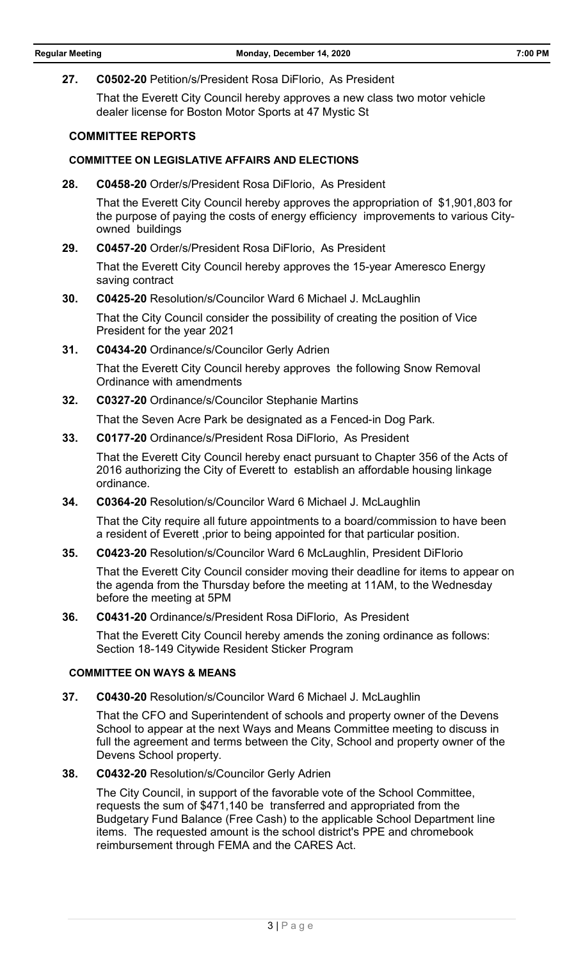#### **27. C0502-20** Petition/s/President Rosa DiFlorio, As President

That the Everett City Council hereby approves a new class two motor vehicle dealer license for Boston Motor Sports at 47 Mystic St

#### **COMMITTEE REPORTS**

#### **COMMITTEE ON LEGISLATIVE AFFAIRS AND ELECTIONS**

**28. C0458-20** Order/s/President Rosa DiFlorio, As President

That the Everett City Council hereby approves the appropriation of \$1,901,803 for the purpose of paying the costs of energy efficiency improvements to various Cityowned buildings

### **29. C0457-20** Order/s/President Rosa DiFlorio, As President

That the Everett City Council hereby approves the 15-year Ameresco Energy saving contract

#### **30. C0425-20** Resolution/s/Councilor Ward 6 Michael J. McLaughlin

That the City Council consider the possibility of creating the position of Vice President for the year 2021

**31. C0434-20** Ordinance/s/Councilor Gerly Adrien

That the Everett City Council hereby approves the following Snow Removal Ordinance with amendments

**32. C0327-20** Ordinance/s/Councilor Stephanie Martins

That the Seven Acre Park be designated as a Fenced-in Dog Park.

**33. C0177-20** Ordinance/s/President Rosa DiFlorio, As President

That the Everett City Council hereby enact pursuant to Chapter 356 of the Acts of 2016 authorizing the City of Everett to establish an affordable housing linkage ordinance.

**34. C0364-20** Resolution/s/Councilor Ward 6 Michael J. McLaughlin

That the City require all future appointments to a board/commission to have been a resident of Everett ,prior to being appointed for that particular position.

**35. C0423-20** Resolution/s/Councilor Ward 6 McLaughlin, President DiFlorio

That the Everett City Council consider moving their deadline for items to appear on the agenda from the Thursday before the meeting at 11AM, to the Wednesday before the meeting at 5PM

**36. C0431-20** Ordinance/s/President Rosa DiFlorio, As President

That the Everett City Council hereby amends the zoning ordinance as follows: Section 18-149 Citywide Resident Sticker Program

#### **COMMITTEE ON WAYS & MEANS**

**37. C0430-20** Resolution/s/Councilor Ward 6 Michael J. McLaughlin

That the CFO and Superintendent of schools and property owner of the Devens School to appear at the next Ways and Means Committee meeting to discuss in full the agreement and terms between the City, School and property owner of the Devens School property.

**38. C0432-20** Resolution/s/Councilor Gerly Adrien

The City Council, in support of the favorable vote of the School Committee, requests the sum of \$471,140 be transferred and appropriated from the Budgetary Fund Balance (Free Cash) to the applicable School Department line items. The requested amount is the school district's PPE and chromebook reimbursement through FEMA and the CARES Act.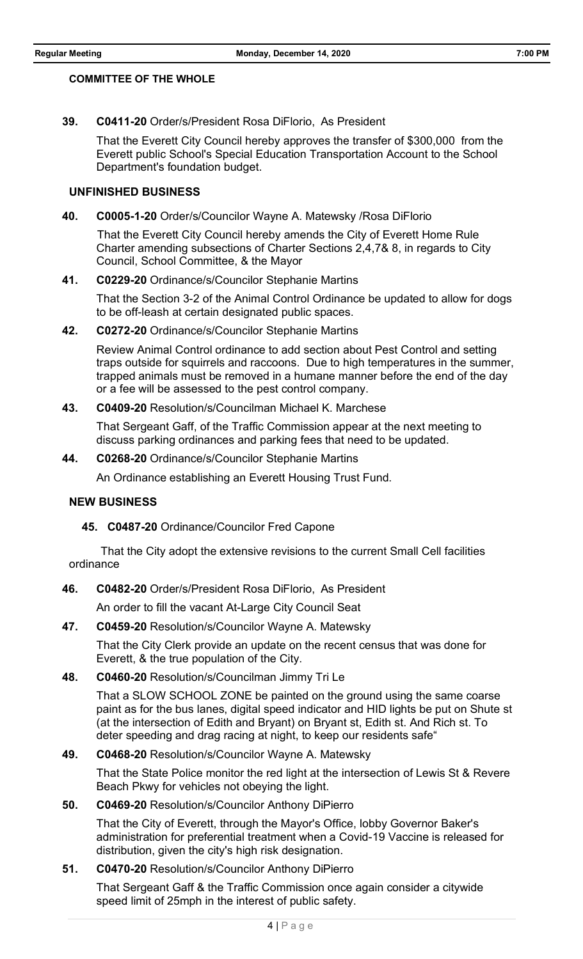#### **COMMITTEE OF THE WHOLE**

**39. C0411-20** Order/s/President Rosa DiFlorio, As President

That the Everett City Council hereby approves the transfer of \$300,000 from the Everett public School's Special Education Transportation Account to the School Department's foundation budget.

### **UNFINISHED BUSINESS**

**40. C0005-1-20** Order/s/Councilor Wayne A. Matewsky /Rosa DiFlorio

That the Everett City Council hereby amends the City of Everett Home Rule Charter amending subsections of Charter Sections 2,4,7& 8, in regards to City Council, School Committee, & the Mayor

#### **41. C0229-20** Ordinance/s/Councilor Stephanie Martins

That the Section 3-2 of the Animal Control Ordinance be updated to allow for dogs to be off-leash at certain designated public spaces.

**42. C0272-20** Ordinance/s/Councilor Stephanie Martins

Review Animal Control ordinance to add section about Pest Control and setting traps outside for squirrels and raccoons. Due to high temperatures in the summer, trapped animals must be removed in a humane manner before the end of the day or a fee will be assessed to the pest control company.

### **43. C0409-20** Resolution/s/Councilman Michael K. Marchese

That Sergeant Gaff, of the Traffic Commission appear at the next meeting to discuss parking ordinances and parking fees that need to be updated.

#### **44. C0268-20** Ordinance/s/Councilor Stephanie Martins

An Ordinance establishing an Everett Housing Trust Fund.

### **NEW BUSINESS**

### **45. C0487-20** Ordinance/Councilor Fred Capone

 That the City adopt the extensive revisions to the current Small Cell facilities ordinance

### **46. C0482-20** Order/s/President Rosa DiFlorio, As President

An order to fill the vacant At-Large City Council Seat

### **47. C0459-20** Resolution/s/Councilor Wayne A. Matewsky

That the City Clerk provide an update on the recent census that was done for Everett, & the true population of the City.

### **48. C0460-20** Resolution/s/Councilman Jimmy Tri Le

That a SLOW SCHOOL ZONE be painted on the ground using the same coarse paint as for the bus lanes, digital speed indicator and HID lights be put on Shute st (at the intersection of Edith and Bryant) on Bryant st, Edith st. And Rich st. To deter speeding and drag racing at night, to keep our residents safe"

### **49. C0468-20** Resolution/s/Councilor Wayne A. Matewsky

That the State Police monitor the red light at the intersection of Lewis St & Revere Beach Pkwy for vehicles not obeying the light.

#### **50. C0469-20** Resolution/s/Councilor Anthony DiPierro

That the City of Everett, through the Mayor's Office, lobby Governor Baker's administration for preferential treatment when a Covid-19 Vaccine is released for distribution, given the city's high risk designation.

# **51. C0470-20** Resolution/s/Councilor Anthony DiPierro

That Sergeant Gaff & the Traffic Commission once again consider a citywide speed limit of 25mph in the interest of public safety.